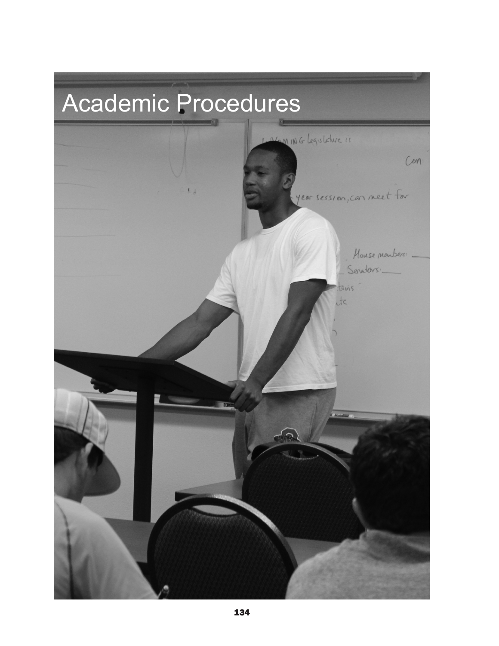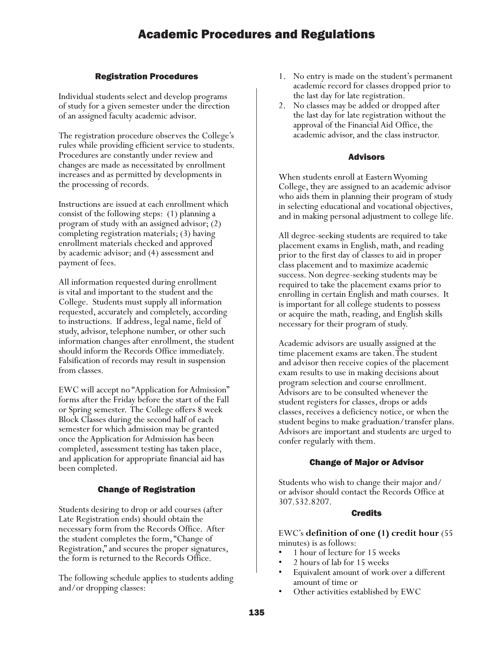## Registration Procedures

Individual students select and develop programs of study for a given semester under the direction of an assigned faculty academic advisor.

The registration procedure observes the College's rules while providing efficient service to students. Procedures are constantly under review and changes are made as necessitated by enrollment increases and as permitted by developments in the processing of records.

Instructions are issued at each enrollment which consist of the following steps: (1) planning a program of study with an assigned advisor; (2) completing registration materials; (3) having enrollment materials checked and approved by academic advisor; and (4) assessment and payment of fees.

All information requested during enrollment is vital and important to the student and the College. Students must supply all information requested, accurately and completely, according to instructions. If address, legal name, field of study, advisor, telephone number, or other such information changes after enrollment, the student should inform the Records Office immediately. Falsification of records may result in suspension from classes.

EWC will accept no "Application for Admission" forms after the Friday before the start of the Fall or Spring semester. The College offers 8 week Block Classes during the second half of each semester for which admission may be granted once the Application for Admission has been completed, assessment testing has taken place, and application for appropriate financial aid has been completed.

## Change of Registration

Students desiring to drop or add courses (after Late Registration ends) should obtain the necessary form from the Records Office. After the student completes the form, "Change of Registration," and secures the proper signatures, the form is returned to the Records Office.

The following schedule applies to students adding and/or dropping classes:

- 1. No entry is made on the student's permanent academic record for classes dropped prior to the last day for late registration.
- 2. No classes may be added or dropped after the last day for late registration without the approval of the Financial Aid Office, the academic advisor, and the class instructor.

## Advisors

When students enroll at Eastern Wyoming College, they are assigned to an academic advisor who aids them in planning their program of study in selecting educational and vocational objectives, and in making personal adjustment to college life.

All degree-seeking students are required to take placement exams in English, math, and reading prior to the first day of classes to aid in proper class placement and to maximize academic success. Non degree-seeking students may be required to take the placement exams prior to enrolling in certain English and math courses. It is important for all college students to possess or acquire the math, reading, and English skills necessary for their program of study.

Academic advisors are usually assigned at the time placement exams are taken. The student and advisor then receive copies of the placement exam results to use in making decisions about program selection and course enrollment. Advisors are to be consulted whenever the student registers for classes, drops or adds classes, receives a deficiency notice, or when the student begins to make graduation/transfer plans. Advisors are important and students are urged to confer regularly with them.

## Change of Major or Advisor

Students who wish to change their major and/ or advisor should contact the Records Office at 307.532.8207.

## Credits

EWC's **definition of one (1) credit hour** (55 minutes) is as follows:

- 1 hour of lecture for 15 weeks
- 2 hours of lab for 15 weeks
- Equivalent amount of work over a different
- amount of time or<br>• Other activities established by EWC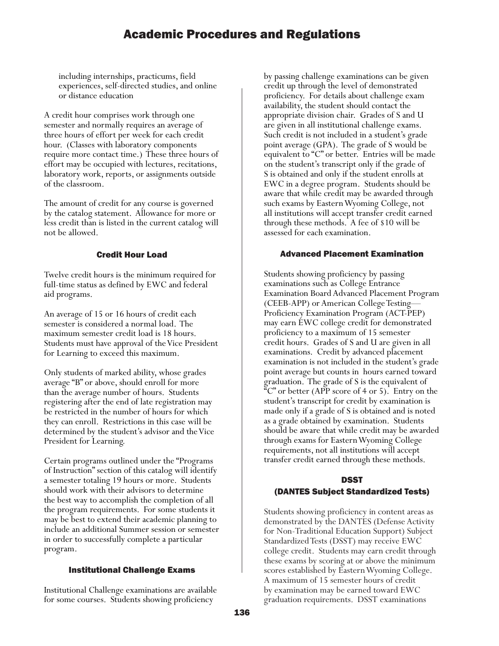including internships, practicums, field experiences, self-directed studies, and online or distance education

A credit hour comprises work through one semester and normally requires an average of three hours of effort per week for each credit hour. (Classes with laboratory components require more contact time.) These three hours of effort may be occupied with lectures, recitations, laboratory work, reports, or assignments outside of the classroom.

The amount of credit for any course is governed by the catalog statement. Allowance for more or less credit than is listed in the current catalog will not be allowed.

## Credit Hour Load

Twelve credit hours is the minimum required for full-time status as defined by EWC and federal aid programs.

An average of 15 or 16 hours of credit each semester is considered a normal load. The maximum semester credit load is 18 hours. Students must have approval of the Vice President for Learning to exceed this maximum.

Only students of marked ability, whose grades average "B" or above, should enroll for more than the average number of hours. Students registering after the end of late registration may be restricted in the number of hours for which they can enroll. Restrictions in this case will be determined by the student's advisor and the Vice President for Learning.

Certain programs outlined under the "Programs of Instruction" section of this catalog will identify a semester totaling 19 hours or more. Students should work with their advisors to determine the best way to accomplish the completion of all the program requirements. For some students it may be best to extend their academic planning to include an additional Summer session or semester in order to successfully complete a particular program.

## Institutional Challenge Exams

Institutional Challenge examinations are available for some courses. Students showing proficiency

by passing challenge examinations can be given credit up through the level of demonstrated proficiency. For details about challenge exam availability, the student should contact the appropriate division chair. Grades of S and U are given in all institutional challenge exams. Such credit is not included in a student's grade point average (GPA). The grade of S would be equivalent to "C" or better. Entries will be made on the student's transcript only if the grade of S is obtained and only if the student enrolls at EWC in a degree program. Students should be aware that while credit may be awarded through such exams by Eastern Wyoming College, not all institutions will accept transfer credit earned through these methods. A fee of \$10 will be assessed for each examination.

## Advanced Placement Examination

Students showing proficiency by passing examinations such as College Entrance Examination Board Advanced Placement Program (CEEB-APP) or American College Testing— Proficiency Examination Program (ACT-PEP) may earn EWC college credit for demonstrated proficiency to a maximum of 15 semester credit hours. Grades of S and U are given in all examinations. Credit by advanced placement examination is not included in the student's grade point average but counts in hours earned toward graduation. The grade of S is the equivalent of  $C^{\infty}$  or better (APP score of 4 or 5). Entry on the student's transcript for credit by examination is made only if a grade of S is obtained and is noted as a grade obtained by examination. Students should be aware that while credit may be awarded through exams for Eastern Wyoming College requirements, not all institutions will accept transfer credit earned through these methods.

## DSST (DANTES Subject Standardized Tests)

Students showing proficiency in content areas as demonstrated by the DANTES (Defense Activity for Non-Traditional Education Support) Subject Standardized Tests (DSST) may receive EWC college credit. Students may earn credit through these exams by scoring at or above the minimum scores established by Eastern Wyoming College. A maximum of 15 semester hours of credit by examination may be earned toward EWC graduation requirements. DSST examinations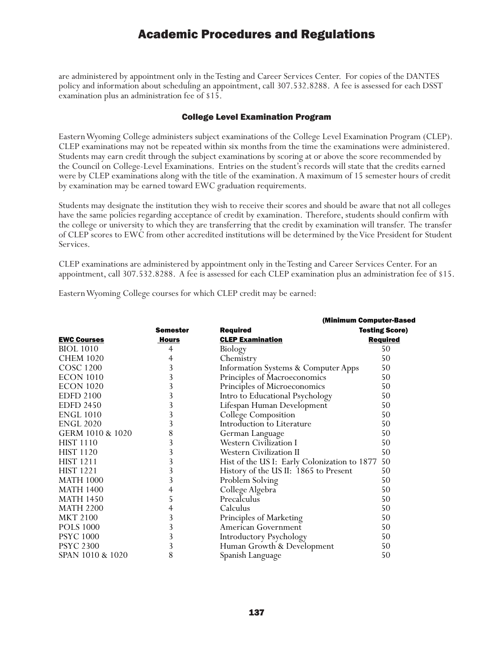are administered by appointment only in the Testing and Career Services Center. For copies of the DANTES policy and information about scheduling an appointment, call 307.532.8288. A fee is assessed for each DSST examination plus an administration fee of \$15.

### College Level Examination Program

Eastern Wyoming College administers subject examinations of the College Level Examination Program (CLEP). CLEP examinations may not be repeated within six months from the time the examinations were administered. Students may earn credit through the subject examinations by scoring at or above the score recommended by the Council on College-Level Examinations. Entries on the student's records will state that the credits earned were by CLEP examinations along with the title of the examination. A maximum of 15 semester hours of credit by examination may be earned toward EWC graduation requirements.

Students may designate the institution they wish to receive their scores and should be aware that not all colleges have the same policies regarding acceptance of credit by examination. Therefore, students should confirm with the college or university to which they are transferring that the credit by examination will transfer. The transfer of CLEP scores to EWC from other accredited institutions will be determined by the Vice President for Student Services.

CLEP examinations are administered by appointment only in the Testing and Career Services Center. For an appointment, call 307.532.8288. A fee is assessed for each CLEP examination plus an administration fee of \$15.

Eastern Wyoming College courses for which CLEP credit may be earned:

|                    |                 | (Minimum Computer-Based                      |                       |
|--------------------|-----------------|----------------------------------------------|-----------------------|
|                    | <b>Semester</b> | <b>Required</b>                              | <b>Testing Score)</b> |
| <b>EWC Courses</b> | Hours           | <b>CLEP Examination</b>                      | <b>Required</b>       |
| <b>BIOL</b> 1010   | 4               | Biology                                      | 50                    |
| <b>CHEM 1020</b>   | 4               | Chemistry                                    | 50                    |
| COSC 1200          | 3               | Information Systems & Computer Apps          | 50                    |
| <b>ECON 1010</b>   | 3               | Principles of Macroeconomics                 | 50                    |
| <b>ECON 1020</b>   | 3               | Principles of Microeconomics                 | 50                    |
| <b>EDFD 2100</b>   | 3               | Intro to Educational Psychology              | 50                    |
| <b>EDFD 2450</b>   | 3               | Lifespan Human Development                   | 50                    |
| <b>ENGL 1010</b>   | 3               | College Composition                          | 50                    |
| <b>ENGL 2020</b>   | 3               | Introduction to Literature                   | 50                    |
| GERM 1010 & 1020   | 8               | German Language                              | 50                    |
| <b>HIST 1110</b>   | 3               | <b>Western Civilization I</b>                | 50                    |
| <b>HIST 1120</b>   | 3               | <b>Western Civilization II</b>               | 50                    |
| <b>HIST 1211</b>   | 3               | Hist of the US I: Early Colonization to 1877 | 50                    |
| <b>HIST 1221</b>   | 3               | History of the US II: 1865 to Present        | 50                    |
| <b>MATH 1000</b>   | 3               | Problem Solving                              | 50                    |
| <b>MATH 1400</b>   | 4               | College Algebra                              | 50                    |
| <b>MATH 1450</b>   | 5               | Precalculus                                  | 50                    |
| <b>MATH 2200</b>   | 4               | Calculus                                     | 50                    |
| <b>MKT 2100</b>    | 3               | Principles of Marketing                      | 50                    |
| <b>POLS 1000</b>   | 3               | American Government                          | 50                    |
| <b>PSYC 1000</b>   | 3               | Introductory Psychology                      | 50                    |
| <b>PSYC 2300</b>   | 3               | Human Growth & Development                   | 50                    |
| SPAN 1010 & 1020   | 8               | Spanish Language                             | 50                    |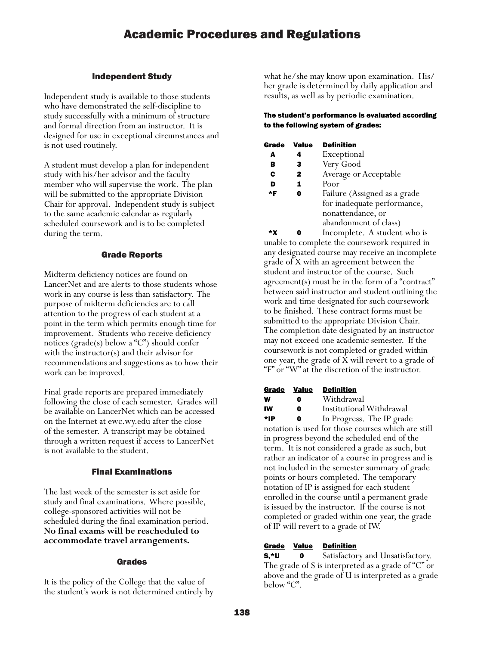## Independent Study

Independent study is available to those students who have demonstrated the self-discipline to study successfully with a minimum of structure and formal direction from an instructor. It is designed for use in exceptional circumstances and is not used routinely.

A student must develop a plan for independent study with his/her advisor and the faculty member who will supervise the work. The plan will be submitted to the appropriate Division Chair for approval. Independent study is subject to the same academic calendar as regularly scheduled coursework and is to be completed during the term.

## Grade Reports

Midterm deficiency notices are found on LancerNet and are alerts to those students whose work in any course is less than satisfactory. The purpose of midterm deficiencies are to call attention to the progress of each student at a point in the term which permits enough time for improvement. Students who receive deficiency notices ( $\text{grade}(s)$  below a "C") should confer with the instructor(s) and their advisor for recommendations and suggestions as to how their work can be improved.

Final grade reports are prepared immediately following the close of each semester. Grades will be available on LancerNet which can be accessed on the Internet at ewc.wy.edu after the close of the semester. A transcript may be obtained through a written request if access to LancerNet is not available to the student.

## Final Examinations

The last week of the semester is set aside for study and final examinations. Where possible, college-sponsored activities will not be scheduled during the final examination period. **No final exams will be rescheduled to accommodate travel arrangements.**

## Grades

It is the policy of the College that the value of the student's work is not determined entirely by what he/she may know upon examination. His/ her grade is determined by daily application and results, as well as by periodic examination.

### The student's performance is evaluated according to the following system of grades:

| Grade | Value        | <b>Definition</b>            |
|-------|--------------|------------------------------|
| A     | 4            | Exceptional                  |
| в     | 3            | Very Good                    |
| C     | $\mathbf{2}$ | Average or Acceptable        |
| D     | 1            | Poor                         |
| *F    |              | Failure (Assigned as a grade |
|       |              | for inadequate performance,  |
|       |              | nonattendance, or            |
|       |              | abandonment of class)        |

 \*X 0 Incomplete. A student who is unable to complete the coursework required in any designated course may receive an incomplete grade of X with an agreement between the student and instructor of the course. Such agreement(s) must be in the form of a "contract" between said instructor and student outlining the work and time designated for such coursework to be finished. These contract forms must be submitted to the appropriate Division Chair. The completion date designated by an instructor may not exceed one academic semester. If the coursework is not completed or graded within one year, the grade of X will revert to a grade of "F" or "W" at the discretion of the instructor.

| Grade | <b>Value</b> | <b>Definition</b> |
|-------|--------------|-------------------|
| w     | o            | Withdrawal        |
| IW    | Λ            | Institutional     |

IW 0 Institutional Withdrawal

\*IP 0 In Progress. The IP grade notation is used for those courses which are still in progress beyond the scheduled end of the term. It is not considered a grade as such, but rather an indicator of a course in progress and is not included in the semester summary of grade points or hours completed. The temporary notation of IP is assigned for each student enrolled in the course until a permanent grade is issued by the instructor. If the course is not completed or graded within one year, the grade of IP will revert to a grade of IW.

## Grade Value Definition

**S,\*U** 0 Satisfactory and Unsatisfactory. The grade of S is interpreted as a grade of "C" or above and the grade of U is interpreted as a grade below "C".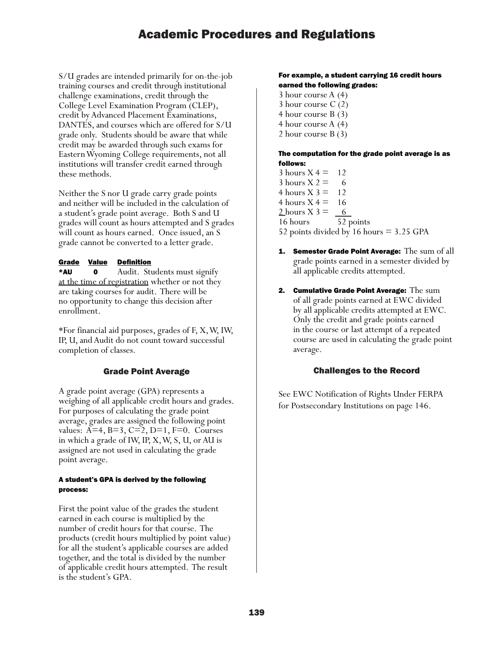S/U grades are intended primarily for on-the-job training courses and credit through institutional challenge examinations, credit through the College Level Examination Program (CLEP), credit by Advanced Placement Examinations, DANTES, and courses which are offered for S/U grade only. Students should be aware that while credit may be awarded through such exams for Eastern Wyoming College requirements, not all institutions will transfer credit earned through these methods.

Neither the S nor U grade carry grade points and neither will be included in the calculation of a student's grade point average. Both S and U grades will count as hours attempted and S grades will count as hours earned. Once issued, an S grade cannot be converted to a letter grade.

### Grade Value Definition

\*AU 0 Audit. Students must signify at the time of registration whether or not they are taking courses for audit. There will be no opportunity to change this decision after enrollment.

\*For financial aid purposes, grades of F, X, W, IW, IP, U, and Audit do not count toward successful completion of classes.

### Grade Point Average

A grade point average (GPA) represents a weighing of all applicable credit hours and grades. For purposes of calculating the grade point average, grades are assigned the following point values: A=4, B=3, C=2, D=1, F=0. Courses in which a grade of IW, IP, X, W, S, U, or AU is assigned are not used in calculating the grade point average.

#### A student's GPA is derived by the following process:

First the point value of the grades the student earned in each course is multiplied by the number of credit hours for that course. The products (credit hours multiplied by point value) for all the student's applicable courses are added together, and the total is divided by the number of applicable credit hours attempted. The result is the student's GPA.

#### For example, a student carrying 16 credit hours earned the following grades:

3 hour course A (4) 3 hour course C (2) 4 hour course B (3) 4 hour course A (4) 2 hour course B (3)

#### The computation for the grade point average is as follows:

- $3$  hours  $X = 12$ 3 hours  $X = 6$ 4 hours  $X$  3 = 12 4 hours  $X = 16$ 2 hours  $X = 6$ 16 hours 52 points 52 points divided by 16 hours = 3.25 GPA
- **1.** Semester Grade Point Average: The sum of all grade points earned in a semester divided by all applicable credits attempted.
- 2. Cumulative Grade Point Average: The sum of all grade points earned at EWC divided by all applicable credits attempted at EWC. Only the credit and grade points earned in the course or last attempt of a repeated course are used in calculating the grade point average.

### Challenges to the Record

See EWC Notification of Rights Under FERPA for Postsecondary Institutions on page 146.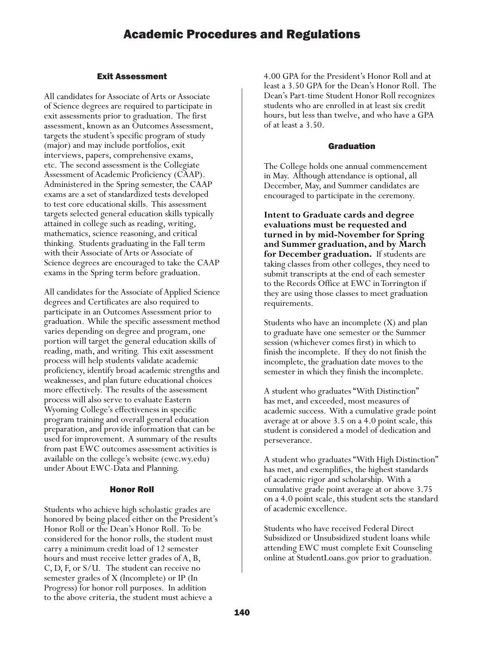## Exit Assessment

All candidates for Associate of Arts or Associate of Science degrees are required to participate in exit assessments prior to graduation. The first assessment, known as an Outcomes Assessment, targets the student's specific program of study (major) and may include portfolios, exit interviews, papers, comprehensive exams, etc. The second assessment is the Collegiate Assessment of Academic Proficiency (CAAP). Administered in the Spring semester, the CAAP exams are a set of standardized tests developed to test core educational skills. This assessment targets selected general education skills typically attained in college such as reading, writing, mathematics, science reasoning, and critical thinking. Students graduating in the Fall term with their Associate of Arts or Associate of Science degrees are encouraged to take the CAAP exams in the Spring term before graduation.

All candidates for the Associate of Applied Science degrees and Certificates are also required to participate in an Outcomes Assessment prior to graduation. While the specific assessment method varies depending on degree and program, one portion will target the general education skills of reading, math, and writing. This exit assessment process will help students validate academic proficiency, identify broad academic strengths and weaknesses, and plan future educational choices more effectively. The results of the assessment process will also serve to evaluate Eastern Wyoming College's effectiveness in specific program training and overall general education preparation, and provide information that can be used for improvement. A summary of the results from past EWC outcomes assessment activities is available on the college's website (ewc.wy.edu) under About EWC-Data and Planning.

## Honor Roll

Students who achieve high scholastic grades are honored by being placed either on the President's Honor Roll or the Dean's Honor Roll. To be considered for the honor rolls, the student must carry a minimum credit load of 12 semester hours and must receive letter grades of A, B, C, D, F, or S/U. The student can receive no semester grades of X (Incomplete) or IP (In Progress) for honor roll purposes. In addition to the above criteria, the student must achieve a

4.00 GPA for the President's Honor Roll and at least a 3.50 GPA for the Dean's Honor Roll. The Dean's Part-time Student Honor Roll recognizes students who are enrolled in at least six credit hours, but less than twelve, and who have a GPA of at least a 3.50.

### Graduation

The College holds one annual commencement in May. Although attendance is optional, all December, May, and Summer candidates are encouraged to participate in the ceremony.

**Intent to Graduate cards and degree evaluations must be requested and turned in by mid-November for Spring and Summer graduation, and by March for December graduation.** If students are taking classes from other colleges, they need to submit transcripts at the end of each semester to the Records Office at EWC in Torrington if they are using those classes to meet graduation requirements.

Students who have an incomplete (X) and plan to graduate have one semester or the Summer session (whichever comes first) in which to finish the incomplete. If they do not finish the incomplete, the graduation date moves to the semester in which they finish the incomplete.

A student who graduates "With Distinction" has met, and exceeded, most measures of academic success. With a cumulative grade point average at or above 3.5 on a 4.0 point scale, this student is considered a model of dedication and perseverance.

A student who graduates "With High Distinction" has met, and exemplifies, the highest standards of academic rigor and scholarship. With a cumulative grade point average at or above 3.75 on a 4.0 point scale, this student sets the standard of academic excellence.

Students who have received Federal Direct Subsidized or Unsubsidized student loans while attending EWC must complete Exit Counseling online at StudentLoans.gov prior to graduation.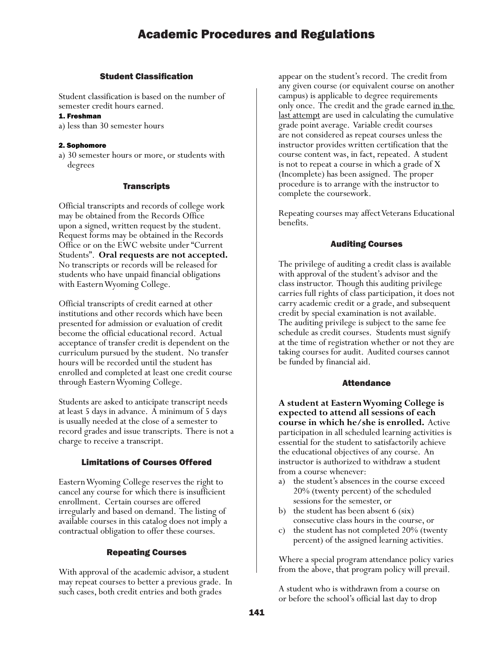### Student Classification

Student classification is based on the number of semester credit hours earned.

#### 1. Freshman

a) less than 30 semester hours

#### 2. Sophomore

a) 30 semester hours or more, or students with degrees

### **Transcripts**

Official transcripts and records of college work may be obtained from the Records Office upon a signed, written request by the student. Request forms may be obtained in the Records Office or on the EWC website under "Current Students". **Oral requests are not accepted.** No transcripts or records will be released for students who have unpaid financial obligations with Eastern Wyoming College.

Official transcripts of credit earned at other institutions and other records which have been presented for admission or evaluation of credit become the official educational record. Actual acceptance of transfer credit is dependent on the curriculum pursued by the student. No transfer hours will be recorded until the student has enrolled and completed at least one credit course through Eastern Wyoming College.

Students are asked to anticipate transcript needs at least 5 days in advance. A minimum of 5 days is usually needed at the close of a semester to record grades and issue transcripts. There is not a charge to receive a transcript.

### Limitations of Courses Offered

Eastern Wyoming College reserves the right to cancel any course for which there is insufficient enrollment. Certain courses are offered irregularly and based on demand. The listing of available courses in this catalog does not imply a contractual obligation to offer these courses.

## Repeating Courses

With approval of the academic advisor, a student may repeat courses to better a previous grade. In such cases, both credit entries and both grades

appear on the student's record. The credit from any given course (or equivalent course on another campus) is applicable to degree requirements only once. The credit and the grade earned <u>in the</u> last attempt are used in calculating the cumulative grade point average. Variable credit courses are not considered as repeat courses unless the instructor provides written certification that the course content was, in fact, repeated. A student is not to repeat a course in which a grade of X (Incomplete) has been assigned. The proper procedure is to arrange with the instructor to complete the coursework.

Repeating courses may affect Veterans Educational benefits.

### Auditing Courses

The privilege of auditing a credit class is available with approval of the student's advisor and the class instructor. Though this auditing privilege carries full rights of class participation, it does not carry academic credit or a grade, and subsequent credit by special examination is not available. The auditing privilege is subject to the same fee schedule as credit courses. Students must signify at the time of registration whether or not they are taking courses for audit. Audited courses cannot be funded by financial aid.

#### Attendance

**A student at Eastern Wyoming College is expected to attend all sessions of each course in which he/she is enrolled.** Active participation in all scheduled learning activities is essential for the student to satisfactorily achieve the educational objectives of any course. An instructor is authorized to withdraw a student from a course whenever:

- a) the student's absences in the course exceed 20% (twenty percent) of the scheduled sessions for the semester, or
- b) the student has been absent 6 (six) consecutive class hours in the course, or
- c) the student has not completed 20% (twenty percent) of the assigned learning activities.

Where a special program attendance policy varies from the above, that program policy will prevail.

A student who is withdrawn from a course on or before the school's official last day to drop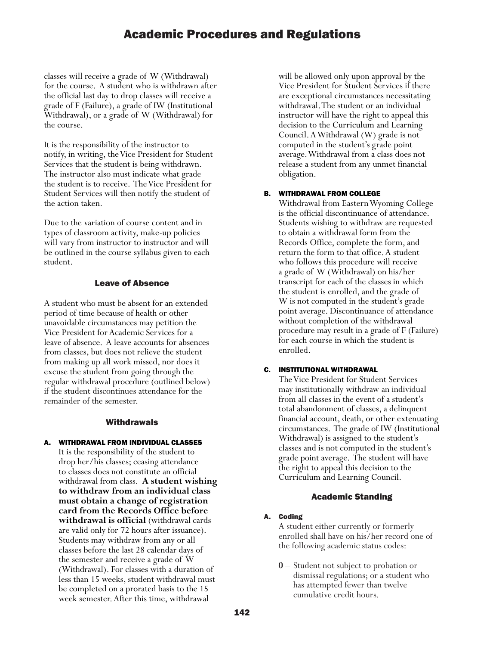classes will receive a grade of W (Withdrawal) for the course. A student who is withdrawn after the official last day to drop classes will receive a grade of F (Failure), a grade of IW (Institutional Withdrawal), or a grade of W (Withdrawal) for the course.

It is the responsibility of the instructor to notify, in writing, the Vice President for Student Services that the student is being withdrawn. The instructor also must indicate what grade the student is to receive. The Vice President for Student Services will then notify the student of the action taken.

Due to the variation of course content and in types of classroom activity, make-up policies will vary from instructor to instructor and will be outlined in the course syllabus given to each student.

## Leave of Absence

A student who must be absent for an extended period of time because of health or other unavoidable circumstances may petition the Vice President for Academic Services for a leave of absence. A leave accounts for absences from classes, but does not relieve the student from making up all work missed, nor does it excuse the student from going through the regular withdrawal procedure (outlined below) if the student discontinues attendance for the remainder of the semester.

## **Withdrawals**

## WITHDRAWAL FROM INDIVIDUAL CLASSES

It is the responsibility of the student to drop her/his classes; ceasing attendance to classes does not constitute an official withdrawal from class. **A student wishing to withdraw from an individual class must obtain a change of registration card from the Records Office before withdrawal is official** (withdrawal cards are valid only for 72 hours after issuance). Students may withdraw from any or all classes before the last 28 calendar days of the semester and receive a grade of W (Withdrawal). For classes with a duration of less than 15 weeks, student withdrawal must be completed on a prorated basis to the 15 week semester. After this time, withdrawal

will be allowed only upon approval by the Vice President for Student Services if there are exceptional circumstances necessitating withdrawal. The student or an individual instructor will have the right to appeal this decision to the Curriculum and Learning Council. A Withdrawal (W) grade is not computed in the student's grade point average. Withdrawal from a class does not release a student from any unmet financial obligation.

## B. WITHDRAWAL FROM COLLEGE

Withdrawal from Eastern Wyoming College is the official discontinuance of attendance. Students wishing to withdraw are requested to obtain a withdrawal form from the Records Office, complete the form, and return the form to that office. A student who follows this procedure will receive a grade of W (Withdrawal) on his/her transcript for each of the classes in which the student is enrolled, and the grade of W is not computed in the student's grade point average. Discontinuance of attendance without completion of the withdrawal procedure may result in a grade of F (Failure) for each course in which the student is enrolled.

## C. INSTITUTIONAL WITHDRAWAL

The Vice President for Student Services may institutionally withdraw an individual from all classes in the event of a student's total abandonment of classes, a delinquent financial account, death, or other extenuating circumstances. The grade of IW (Institutional Withdrawal) is assigned to the student's classes and is not computed in the student's grade point average. The student will have the right to appeal this decision to the Curriculum and Learning Council.

## Academic Standing

### A. Coding

A student either currently or formerly enrolled shall have on his/her record one of the following academic status codes:

**0** – Student not subject to probation or dismissal regulations; or a student who has attempted fewer than twelve cumulative credit hours.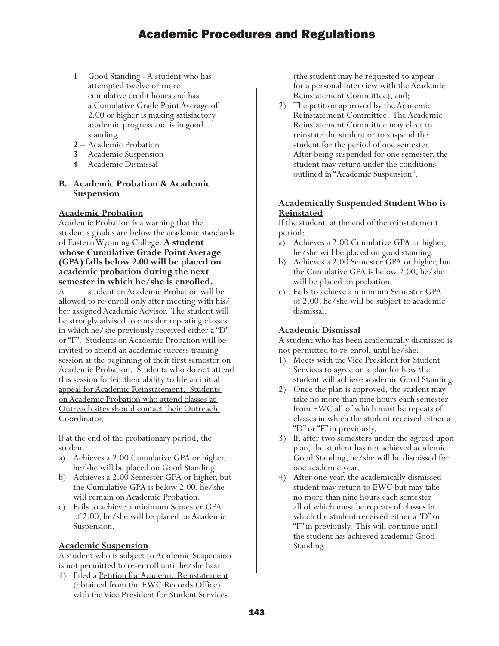- **<sup>1</sup>** Good Standing A student who has attempted twelve or more cumulative credit hours and has a Cumulative Grade Point Average of 2.00 or higher is making satisfactory academic progress and is in good standing.
- **2** Academic Probation
- **3** Academic Suspension
- **4** Academic Dismissal

# **B. Academic Probation & Academic Suspension**

## **Academic Probation**

Academic Probation is a warning that the student's grades are below the academic standards of Eastern Wyoming College. **A student whose Cumulative Grade Point Average (GPA) falls below 2.00 will be placed on academic probation during the next semester in which he/she is enrolled.**<br>A student on Academic Probation will be

allowed to re-enroll only after meeting with his/ her assigned Academic Advisor. The student will be strongly advised to consider repeating classes in which he/she previously received either a "D" or "F". Students on Academic Probation will be invited to attend an academic success training session at the beginning of their first semester on Academic Probation. Students who do not attend this session forfeit their ability to file an initial appeal for Academic Reinstatement. Students on Academic Probation who attend classes at Outreach sites should contact their Outreach Coordinator.

If at the end of the probationary period, the student:

- a) Achieves a 2.00 Cumulative GPA or higher, he/she will be placed on Good Standing.
- b) Achieves a 2.00 Semester GPA or higher, but the Cumulative GPA is below 2.00, he/she will remain on Academic Probation.
- c) Fails to achieve a minimum Semester GPA of 2.00, he/she will be placed on Academic Suspension.

## **Academic Suspension**

A student who is subject to Academic Suspension is not permitted to re-enroll until he/she has:

1) Filed a Petition for Academic Reinstatement (obtained from the EWC Records Office) with the Vice President for Student Services

(the student may be requested to appear for a personal interview with the Academic Reinstatement Committee), and;

2) The petition approved by the Academic Reinstatement Committee. The Academic Reinstatement Committee may elect to reinstate the student or to suspend the student for the period of one semester. After being suspended for one semester, the student may return under the conditions outlined in "Academic Suspension".

## **Academically Suspended Student Who is Reinstated**

If the student, at the end of the reinstatement period:

- a) Achieves a 2.00 Cumulative GPA or higher, he/she will be placed on good standing.
- b) Achieves a 2.00 Semester GPA or higher, but the Cumulative GPA is below 2.00, he/she will be placed on probation.
- c) Fails to achieve a minimum Semester GPA of 2.00, he/she will be subject to academic dismissal.

## **Academic Dismissal**

A student who has been academically dismissed is not permitted to re-enroll until he/she:

- 1) Meets with the Vice President for Student Services to agree on a plan for how the student will achieve academic Good Standing.
- 2) Once the plan is approved, the student may take no more than nine hours each semester from EWC all of which must be repeats of classes in which the student received either a "D" or "F" in previously.
- 3) If, after two semesters under the agreed upon plan, the student has not achieved academic Good Standing, he/she will be dismissed for one academic year.
- 4) After one year, the academically dismissed student may return to EWC but may take no more than nine hours each semester all of which must be repeats of classes in which the student received either a "D" or "F" in previously. This will continue until the student has achieved academic Good Standing.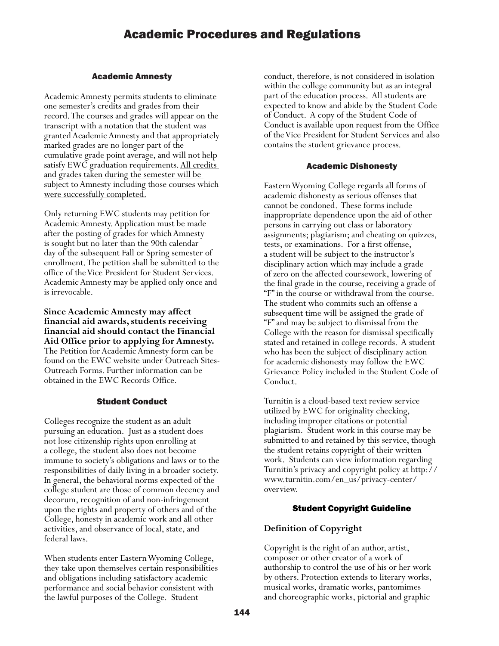## Academic Amnesty

Academic Amnesty permits students to eliminate one semester's credits and grades from their record. The courses and grades will appear on the transcript with a notation that the student was granted Academic Amnesty and that appropriately marked grades are no longer part of the cumulative grade point average, and will not help satisfy EWC graduation requirements. All credits and grades taken during the semester will be subject to Amnesty including those courses which were successfully completed.

Only returning EWC students may petition for Academic Amnesty. Application must be made after the posting of grades for which Amnesty is sought but no later than the 90th calendar day of the subsequent Fall or Spring semester of enrollment. The petition shall be submitted to the office of the Vice President for Student Services. Academic Amnesty may be applied only once and is irrevocable.

**Since Academic Amnesty may affect financial aid awards, students receiving financial aid should contact the Financial Aid Office prior to applying for Amnesty.**  The Petition for Academic Amnesty form can be found on the EWC website under Outreach Sites-Outreach Forms. Further information can be obtained in the EWC Records Office.

## Student Conduct

Colleges recognize the student as an adult pursuing an education. Just as a student does not lose citizenship rights upon enrolling at a college, the student also does not become immune to society's obligations and laws or to the responsibilities of daily living in a broader society. In general, the behavioral norms expected of the college student are those of common decency and decorum, recognition of and non-infringement upon the rights and property of others and of the College, honesty in academic work and all other activities, and observance of local, state, and federal laws.

When students enter Eastern Wyoming College, they take upon themselves certain responsibilities and obligations including satisfactory academic performance and social behavior consistent with the lawful purposes of the College. Student

conduct, therefore, is not considered in isolation within the college community but as an integral part of the education process. All students are expected to know and abide by the Student Code of Conduct. A copy of the Student Code of Conduct is available upon request from the Office of the Vice President for Student Services and also contains the student grievance process.

## Academic Dishonesty

Eastern Wyoming College regards all forms of academic dishonesty as serious offenses that cannot be condoned. These forms include inappropriate dependence upon the aid of other persons in carrying out class or laboratory assignments; plagiarism; and cheating on quizzes, tests, or examinations. For a first offense, a student will be subject to the instructor's disciplinary action which may include a grade of zero on the affected coursework, lowering of the final grade in the course, receiving a grade of "F" in the course or withdrawal from the course. The student who commits such an offense a subsequent time will be assigned the grade of "F" and may be subject to dismissal from the College with the reason for dismissal specifically stated and retained in college records. A student who has been the subject of disciplinary action for academic dishonesty may follow the EWC Grievance Policy included in the Student Code of Conduct.

Turnitin is a cloud-based text review service utilized by EWC for originality checking, including improper citations or potential plagiarism. Student work in this course may be submitted to and retained by this service, though the student retains copyright of their written work. Students can view information regarding Turnitin's privacy and copyright policy at http:// www.turnitin.com/en\_us/privacy-center/ overview.

## Student Copyright Guideline

## **Definition of Copyright**

Copyright is the right of an author, artist, composer or other creator of a work of authorship to control the use of his or her work by others. Protection extends to literary works, musical works, dramatic works, pantomimes and choreographic works, pictorial and graphic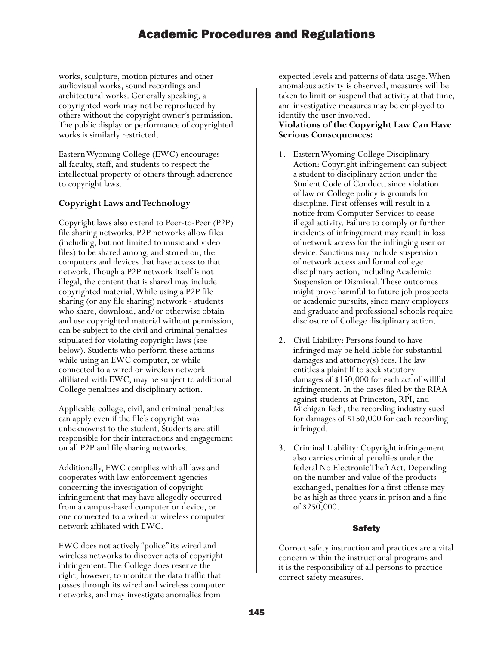works, sculpture, motion pictures and other audiovisual works, sound recordings and architectural works. Generally speaking, a copyrighted work may not be reproduced by others without the copyright owner's permission. The public display or performance of copyrighted works is similarly restricted.

Eastern Wyoming College (EWC) encourages all faculty, staff, and students to respect the intellectual property of others through adherence to copyright laws.

## **Copyright Laws and Technology**

Copyright laws also extend to Peer-to-Peer (P2P) file sharing networks. P2P networks allow files (including, but not limited to music and video files) to be shared among, and stored on, the computers and devices that have access to that network. Though a P2P network itself is not illegal, the content that is shared may include copyrighted material. While using a P2P file sharing (or any file sharing) network - students who share, download, and/or otherwise obtain and use copyrighted material without permission, can be subject to the civil and criminal penalties stipulated for violating copyright laws (see below). Students who perform these actions while using an EWC computer, or while connected to a wired or wireless network affiliated with EWC, may be subject to additional College penalties and disciplinary action.

Applicable college, civil, and criminal penalties can apply even if the file's copyright was unbeknownst to the student. Students are still responsible for their interactions and engagement on all P2P and file sharing networks.

Additionally, EWC complies with all laws and cooperates with law enforcement agencies concerning the investigation of copyright infringement that may have allegedly occurred from a campus-based computer or device, or one connected to a wired or wireless computer network affiliated with EWC.

EWC does not actively "police" its wired and wireless networks to discover acts of copyright infringement. The College does reserve the right, however, to monitor the data traffic that passes through its wired and wireless computer networks, and may investigate anomalies from

expected levels and patterns of data usage. When anomalous activity is observed, measures will be taken to limit or suspend that activity at that time, and investigative measures may be employed to identify the user involved.

## **Violations of the Copyright Law Can Have Serious Consequences:**

- 1. Eastern Wyoming College Disciplinary Action: Copyright infringement can subject a student to disciplinary action under the Student Code of Conduct, since violation of law or College policy is grounds for discipline. First offenses will result in a notice from Computer Services to cease illegal activity. Failure to comply or further incidents of infringement may result in loss of network access for the infringing user or device. Sanctions may include suspension of network access and formal college disciplinary action, including Academic Suspension or Dismissal. These outcomes might prove harmful to future job prospects or academic pursuits, since many employers and graduate and professional schools require disclosure of College disciplinary action.
- 2. Civil Liability: Persons found to have infringed may be held liable for substantial damages and attorney(s) fees. The law entitles a plaintiff to seek statutory damages of \$150,000 for each act of willful infringement. In the cases filed by the RIAA against students at Princeton, RPI, and Michigan Tech, the recording industry sued for damages of \$150,000 for each recording infringed.
- 3. Criminal Liability: Copyright infringement also carries criminal penalties under the federal No Electronic Theft Act. Depending on the number and value of the products exchanged, penalties for a first offense may be as high as three years in prison and a fine of \$250,000.

## Safety

Correct safety instruction and practices are a vital concern within the instructional programs and it is the responsibility of all persons to practice correct safety measures.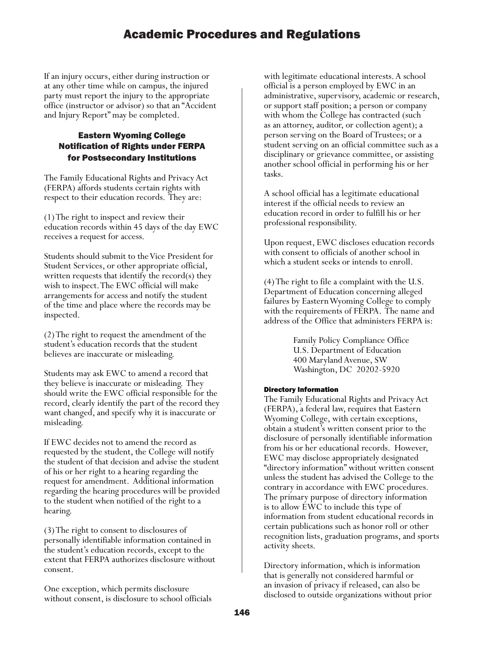If an injury occurs, either during instruction or at any other time while on campus, the injured party must report the injury to the appropriate office (instructor or advisor) so that an "Accident and Injury Report" may be completed.

## Eastern Wyoming College Notification of Rights under FERPA for Postsecondary Institutions

The Family Educational Rights and Privacy Act (FERPA) affords students certain rights with respect to their education records. They are:

(1) The right to inspect and review their education records within 45 days of the day EWC receives a request for access.

Students should submit to the Vice President for Student Services, or other appropriate official, written requests that identify the record(s) they wish to inspect. The EWC official will make arrangements for access and notify the student of the time and place where the records may be inspected.

(2) The right to request the amendment of the student's education records that the student believes are inaccurate or misleading.

Students may ask EWC to amend a record that they believe is inaccurate or misleading. They should write the EWC official responsible for the record, clearly identify the part of the record they want changed, and specify why it is inaccurate or misleading.

If EWC decides not to amend the record as requested by the student, the College will notify the student of that decision and advise the student of his or her right to a hearing regarding the request for amendment. Additional information regarding the hearing procedures will be provided to the student when notified of the right to a hearing.

(3) The right to consent to disclosures of personally identifiable information contained in the student's education records, except to the extent that FERPA authorizes disclosure without consent.

One exception, which permits disclosure without consent, is disclosure to school officials with legitimate educational interests. A school official is a person employed by EWC in an administrative, supervisory, academic or research, or support staff position; a person or company with whom the College has contracted (such as an attorney, auditor, or collection agent); a person serving on the Board of Trustees; or a student serving on an official committee such as a disciplinary or grievance committee, or assisting another school official in performing his or her tasks.

A school official has a legitimate educational interest if the official needs to review an education record in order to fulfill his or her professional responsibility.

Upon request, EWC discloses education records with consent to officials of another school in which a student seeks or intends to enroll.

(4) The right to file a complaint with the U.S. Department of Education concerning alleged failures by Eastern Wyoming College to comply with the requirements of FERPA. The name and address of the Office that administers FERPA is:

> Family Policy Compliance Office U.S. Department of Education 400 Maryland Avenue, SW Washington, DC 20202-5920

## Directory Information

The Family Educational Rights and Privacy Act (FERPA), a federal law, requires that Eastern Wyoming College, with certain exceptions, obtain a student's written consent prior to the disclosure of personally identifiable information from his or her educational records. However, EWC may disclose appropriately designated "directory information" without written consent unless the student has advised the College to the contrary in accordance with EWC procedures. The primary purpose of directory information is to allow EWC to include this type of information from student educational records in certain publications such as honor roll or other recognition lists, graduation programs, and sports activity sheets.

Directory information, which is information that is generally not considered harmful or an invasion of privacy if released, can also be disclosed to outside organizations without prior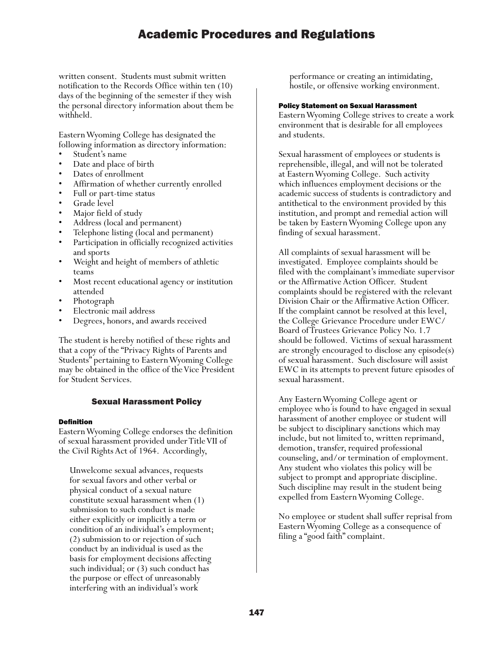written consent. Students must submit written notification to the Records Office within ten (10) days of the beginning of the semester if they wish the personal directory information about them be withheld.

Eastern Wyoming College has designated the following information as directory information:

- 
- 
- 
- Student's name<br>• Dates of enrollment<br>• Dates of enrollment<br>• Affirmation of whether currently enrolled<br>• Full or part-time status<br>• Grade level<br>• Major field of study<br>• Address (local and permanent)
- 
- 
- 
- 
- 
- Telephone listing (local and permanent) Participation in officially recognized activities
- and sports<br>Weight and height of members of athletic
- teams<br>Most recent educational agency or institution
- 
- 
- attended<br>• Photograph<br>• Electronic mail address<br>• Degrees, honors, and awards received

The student is hereby notified of these rights and that a copy of the "Privacy Rights of Parents and Students" pertaining to Eastern Wyoming College may be obtained in the office of the Vice President for Student Services.

## Sexual Harassment Policy

### Definition

Eastern Wyoming College endorses the definition of sexual harassment provided under Title VII of the Civil Rights Act of 1964. Accordingly,

Unwelcome sexual advances, requests for sexual favors and other verbal or physical conduct of a sexual nature constitute sexual harassment when (1) submission to such conduct is made either explicitly or implicitly a term or condition of an individual's employment; (2) submission to or rejection of such conduct by an individual is used as the basis for employment decisions affecting such individual; or (3) such conduct has the purpose or effect of unreasonably interfering with an individual's work

performance or creating an intimidating, hostile, or offensive working environment.

#### Policy Statement on Sexual Harassment

Eastern Wyoming College strives to create a work environment that is desirable for all employees and students.

Sexual harassment of employees or students is reprehensible, illegal, and will not be tolerated at Eastern Wyoming College. Such activity which influences employment decisions or the academic success of students is contradictory and antithetical to the environment provided by this institution, and prompt and remedial action will be taken by Eastern Wyoming College upon any finding of sexual harassment.

All complaints of sexual harassment will be investigated. Employee complaints should be filed with the complainant's immediate supervisor or the Affirmative Action Officer. Student complaints should be registered with the relevant Division Chair or the Affirmative Action Officer. If the complaint cannot be resolved at this level, the College Grievance Procedure under EWC/ Board of Trustees Grievance Policy No. 1.7 should be followed. Victims of sexual harassment are strongly encouraged to disclose any episode(s) of sexual harassment. Such disclosure will assist EWC in its attempts to prevent future episodes of sexual harassment.

Any Eastern Wyoming College agent or employee who is found to have engaged in sexual harassment of another employee or student will be subject to disciplinary sanctions which may include, but not limited to, written reprimand, demotion, transfer, required professional counseling, and/or termination of employment. Any student who violates this policy will be subject to prompt and appropriate discipline. Such discipline may result in the student being expelled from Eastern Wyoming College.

No employee or student shall suffer reprisal from Eastern Wyoming College as a consequence of filing a "good faith" complaint.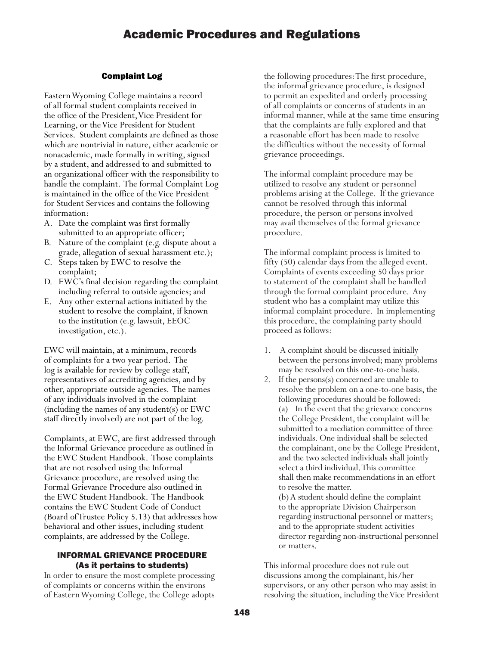## Complaint Log

Eastern Wyoming College maintains a record of all formal student complaints received in the office of the President, Vice President for Learning, or the Vice President for Student Services. Student complaints are defined as those which are nontrivial in nature, either academic or nonacademic, made formally in writing, signed by a student, and addressed to and submitted to an organizational officer with the responsibility to handle the complaint. The formal Complaint Log is maintained in the office of the Vice President for Student Services and contains the following information:

- A. Date the complaint was first formally submitted to an appropriate officer;
- B. Nature of the complaint (e.g. dispute about a grade, allegation of sexual harassment etc.);
- C. Steps taken by EWC to resolve the complaint;
- D. EWC's final decision regarding the complaint including referral to outside agencies; and
- E. Any other external actions initiated by the student to resolve the complaint, if known to the institution (e.g. lawsuit, EEOC investigation, etc.).

EWC will maintain, at a minimum, records of complaints for a two year period. The log is available for review by college staff, representatives of accrediting agencies, and by other, appropriate outside agencies. The names of any individuals involved in the complaint (including the names of any student(s) or EWC staff directly involved) are not part of the log.

Complaints, at EWC, are first addressed through the Informal Grievance procedure as outlined in the EWC Student Handbook. Those complaints that are not resolved using the Informal Grievance procedure, are resolved using the Formal Grievance Procedure also outlined in the EWC Student Handbook. The Handbook contains the EWC Student Code of Conduct (Board of Trustee Policy 5.13) that addresses how behavioral and other issues, including student complaints, are addressed by the College.

### INFORMAL GRIEVANCE PROCEDURE (As it pertains to students)

In order to ensure the most complete processing of complaints or concerns within the environs of Eastern Wyoming College, the College adopts

the following procedures: The first procedure, the informal grievance procedure, is designed to permit an expedited and orderly processing of all complaints or concerns of students in an informal manner, while at the same time ensuring that the complaints are fully explored and that a reasonable effort has been made to resolve the difficulties without the necessity of formal grievance proceedings.

The informal complaint procedure may be utilized to resolve any student or personnel problems arising at the College. If the grievance cannot be resolved through this informal procedure, the person or persons involved may avail themselves of the formal grievance procedure.

The informal complaint process is limited to fifty (50) calendar days from the alleged event. Complaints of events exceeding 50 days prior to statement of the complaint shall be handled through the formal complaint procedure. Any student who has a complaint may utilize this informal complaint procedure. In implementing this procedure, the complaining party should proceed as follows:

- 1. A complaint should be discussed initially between the persons involved; many problems may be resolved on this one-to-one basis.
- 2. If the persons(s) concerned are unable to resolve the problem on a one-to-one basis, the following procedures should be followed: (a) In the event that the grievance concerns the College President, the complaint will be submitted to a mediation committee of three individuals. One individual shall be selected the complainant, one by the College President, and the two selected individuals shall jointly select a third individual. This committee shall then make recommendations in an effort to resolve the matter.

(b) A student should define the complaint to the appropriate Division Chairperson regarding instructional personnel or matters; and to the appropriate student activities director regarding non-instructional personnel or matters.

This informal procedure does not rule out discussions among the complainant, his/her supervisors, or any other person who may assist in resolving the situation, including the Vice President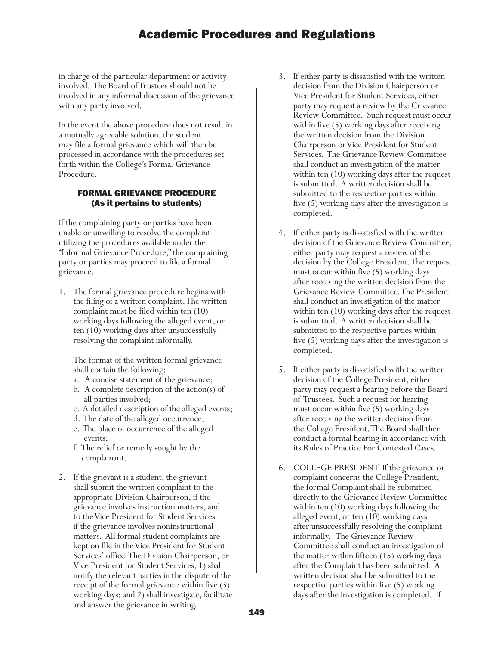in charge of the particular department or activity involved. The Board of Trustees should not be involved in any informal discussion of the grievance with any party involved.

In the event the above procedure does not result in a mutually agreeable solution, the student may file a formal grievance which will then be processed in accordance with the procedures set forth within the College's Formal Grievance Procedure.

## FORMAL GRIEVANCE PROCEDURE (As it pertains to students)

If the complaining party or parties have been unable or unwilling to resolve the complaint utilizing the procedures available under the "Informal Grievance Procedure," the complaining party or parties may proceed to file a formal grievance.

1. The formal grievance procedure begins with the filing of a written complaint. The written complaint must be filed within ten (10) working days following the alleged event, or ten (10) working days after unsuccessfully resolving the complaint informally.

The format of the written formal grievance shall contain the following:

- a. A concise statement of the grievance;
- b. A complete description of the action(s) of all parties involved;
- c. A detailed description of the alleged events;
- d. The date of the alleged occurrence;
- e. The place of occurrence of the alleged events;
- f. The relief or remedy sought by the complainant.
- 2. If the grievant is a student, the grievant shall submit the written complaint to the appropriate Division Chairperson, if the grievance involves instruction matters, and to the Vice President for Student Services if the grievance involves noninstructional matters. All formal student complaints are kept on file in the Vice President for Student Services' office. The Division Chairperson, or Vice President for Student Services, 1) shall notify the relevant parties in the dispute of the receipt of the formal grievance within five (5) working days; and 2) shall investigate, facilitate and answer the grievance in writing.
- 3. If either party is dissatisfied with the written decision from the Division Chairperson or Vice President for Student Services, either party may request a review by the Grievance Review Committee. Such request must occur within five (5) working days after receiving the written decision from the Division Chairperson or Vice President for Student Services. The Grievance Review Committee shall conduct an investigation of the matter within ten (10) working days after the request is submitted. A written decision shall be submitted to the respective parties within five (5) working days after the investigation is completed.
- 4. If either party is dissatisfied with the written decision of the Grievance Review Committee, either party may request a review of the decision by the College President. The request must occur within five (5) working days after receiving the written decision from the Grievance Review Committee. The President shall conduct an investigation of the matter within ten  $(10)$  working days after the request is submitted. A written decision shall be submitted to the respective parties within five (5) working days after the investigation is completed.
- 5. If either party is dissatisfied with the written decision of the College President, either party may request a hearing before the Board of Trustees. Such a request for hearing must occur within five (5) working days after receiving the written decision from the College President. The Board shall then conduct a formal hearing in accordance with its Rules of Practice For Contested Cases.
- 6. COLLEGE PRESIDENT. If the grievance or complaint concerns the College President, the formal Complaint shall be submitted directly to the Grievance Review Committee within ten (10) working days following the alleged event, or ten (10) working days after unsuccessfully resolving the complaint informally. The Grievance Review Committee shall conduct an investigation of the matter within fifteen (15) working days after the Complaint has been submitted. A written decision shall be submitted to the respective parties within five (5) working days after the investigation is completed. If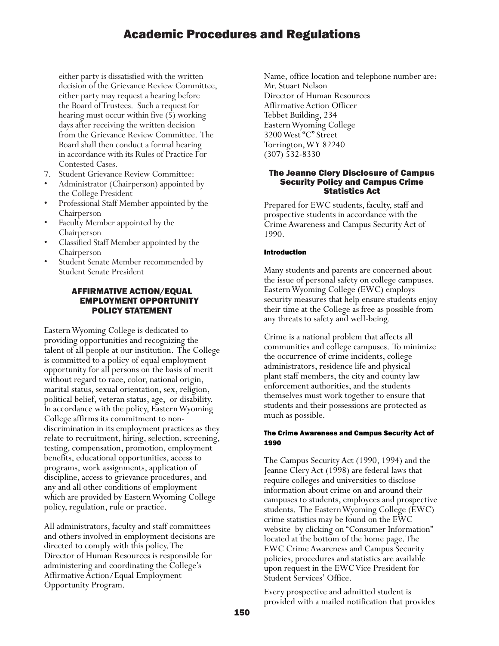either party is dissatisfied with the written decision of the Grievance Review Committee, either party may request a hearing before the Board of Trustees. Such a request for hearing must occur within five (5) working days after receiving the written decision from the Grievance Review Committee. The Board shall then conduct a formal hearing in accordance with its Rules of Practice For Contested Cases.

- 
- 7. Student Grievance Review Committee: Administrator (Chairperson) appointed by
- the College President<br>• Professional Staff Member appointed by the
- Chairperson<br>• Faculty Member appointed by the
- Chairperson<br>• Classified Staff Member appointed by the
- Chairperson<br>
Student Senate Member recommended by Student Senate President

## AFFIRMATIVE ACTION/EQUAL EMPLOYMENT OPPORTUNITY POLICY STATEMENT

Eastern Wyoming College is dedicated to providing opportunities and recognizing the talent of all people at our institution. The College is committed to a policy of equal employment opportunity for all persons on the basis of merit without regard to race, color, national origin, marital status, sexual orientation, sex, religion, political belief, veteran status, age, or disability. In accordance with the policy, Eastern Wyoming College affirms its commitment to nondiscrimination in its employment practices as they relate to recruitment, hiring, selection, screening, testing, compensation, promotion, employment benefits, educational opportunities, access to programs, work assignments, application of discipline, access to grievance procedures, and any and all other conditions of employment which are provided by Eastern Wyoming College policy, regulation, rule or practice.

All administrators, faculty and staff committees and others involved in employment decisions are directed to comply with this policy. The Director of Human Resources is responsible for administering and coordinating the College's Affirmative Action/Equal Employment Opportunity Program.

Name, office location and telephone number are: Mr. Stuart Nelson Director of Human Resources Affirmative Action Officer Tebbet Building, 234 Eastern Wyoming College 3200 West "C" Street Torrington, WY 82240 (307) 532-8330

#### The Jeanne Clery Disclosure of Campus Security Policy and Campus Crime Statistics Act

Prepared for EWC students, faculty, staff and prospective students in accordance with the Crime Awareness and Campus Security Act of 1990.

## Introduction

Many students and parents are concerned about the issue of personal safety on college campuses. Eastern Wyoming College (EWC) employs security measures that help ensure students enjoy their time at the College as free as possible from any threats to safety and well-being.

Crime is a national problem that affects all communities and college campuses. To minimize the occurrence of crime incidents, college administrators, residence life and physical plant staff members, the city and county law enforcement authorities, and the students themselves must work together to ensure that students and their possessions are protected as much as possible.

### The Crime Awareness and Campus Security Act of 1990

The Campus Security Act (1990, 1994) and the Jeanne Clery Act (1998) are federal laws that require colleges and universities to disclose information about crime on and around their campuses to students, employees and prospective students. The Eastern Wyoming College (EWC) crime statistics may be found on the EWC website by clicking on "Consumer Information" located at the bottom of the home page. The EWC Crime Awareness and Campus Security policies, procedures and statistics are available upon request in the EWC Vice President for Student Services' Office.

Every prospective and admitted student is provided with a mailed notification that provides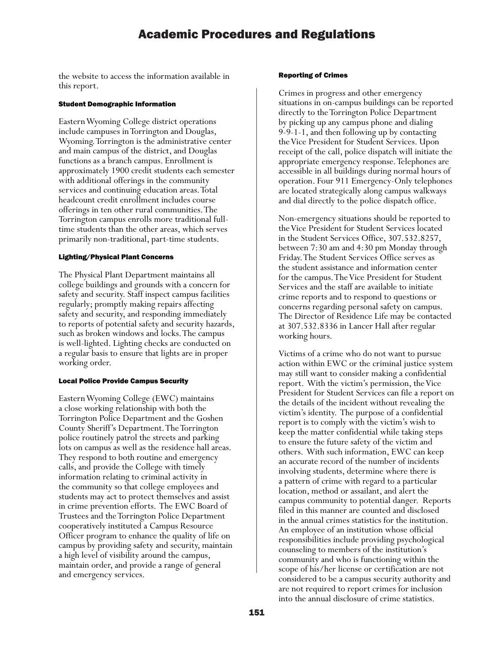the website to access the information available in this report.

#### Student Demographic Information

Eastern Wyoming College district operations include campuses in Torrington and Douglas, Wyoming. Torrington is the administrative center and main campus of the district, and Douglas functions as a branch campus. Enrollment is approximately 1900 credit students each semester with additional offerings in the community services and continuing education areas. Total headcount credit enrollment includes course offerings in ten other rural communities. The Torrington campus enrolls more traditional fulltime students than the other areas, which serves primarily non-traditional, part-time students.

#### Lighting/Physical Plant Concerns

The Physical Plant Department maintains all college buildings and grounds with a concern for safety and security. Staff inspect campus facilities regularly; promptly making repairs affecting safety and security, and responding immediately to reports of potential safety and security hazards, such as broken windows and locks. The campus is well-lighted. Lighting checks are conducted on a regular basis to ensure that lights are in proper working order.

### Local Police Provide Campus Security

Eastern Wyoming College (EWC) maintains a close working relationship with both the Torrington Police Department and the Goshen County Sheriff's Department. The Torrington police routinely patrol the streets and parking lots on campus as well as the residence hall areas. They respond to both routine and emergency calls, and provide the College with timely information relating to criminal activity in the community so that college employees and students may act to protect themselves and assist in crime prevention efforts. The EWC Board of Trustees and the Torrington Police Department cooperatively instituted a Campus Resource Officer program to enhance the quality of life on campus by providing safety and security, maintain a high level of visibility around the campus, maintain order, and provide a range of general and emergency services.

#### Reporting of Crimes

Crimes in progress and other emergency situations in on-campus buildings can be reported directly to the Torrington Police Department by picking up any campus phone and dialing 9-9-1-1, and then following up by contacting the Vice President for Student Services. Upon receipt of the call, police dispatch will initiate the appropriate emergency response. Telephones are accessible in all buildings during normal hours of operation. Four 911 Emergency-Only telephones are located strategically along campus walkways and dial directly to the police dispatch office.

Non-emergency situations should be reported to the Vice President for Student Services located in the Student Services Office, 307.532.8257, between 7:30 am and 4:30 pm Monday through Friday. The Student Services Office serves as the student assistance and information center for the campus. The Vice President for Student Services and the staff are available to initiate crime reports and to respond to questions or concerns regarding personal safety on campus. The Director of Residence Life may be contacted at 307.532.8336 in Lancer Hall after regular working hours.

Victims of a crime who do not want to pursue action within EWC or the criminal justice system may still want to consider making a confidential report. With the victim's permission, the Vice President for Student Services can file a report on the details of the incident without revealing the victim's identity. The purpose of a confidential report is to comply with the victim's wish to keep the matter confidential while taking steps to ensure the future safety of the victim and others. With such information, EWC can keep an accurate record of the number of incidents involving students, determine where there is a pattern of crime with regard to a particular location, method or assailant, and alert the campus community to potential danger. Reports filed in this manner are counted and disclosed in the annual crimes statistics for the institution. An employee of an institution whose official responsibilities include providing psychological counseling to members of the institution's community and who is functioning within the scope of his/her license or certification are not considered to be a campus security authority and are not required to report crimes for inclusion into the annual disclosure of crime statistics.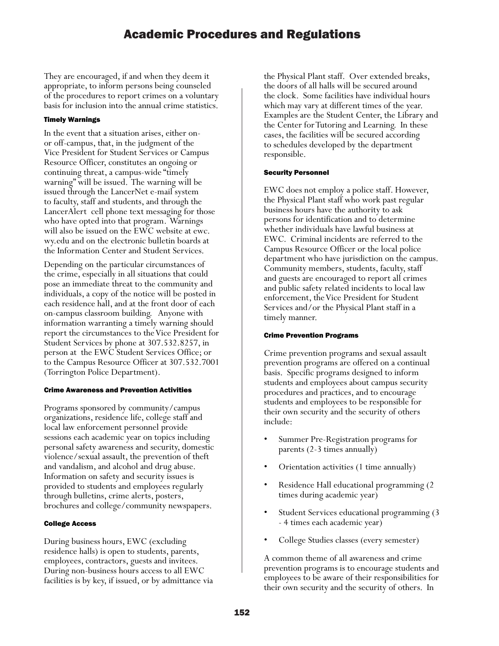They are encouraged, if and when they deem it appropriate, to inform persons being counseled of the procedures to report crimes on a voluntary basis for inclusion into the annual crime statistics.

## Timely Warnings

In the event that a situation arises, either onor off-campus, that, in the judgment of the Vice President for Student Services or Campus Resource Officer, constitutes an ongoing or continuing threat, a campus-wide "timely warning" will be issued. The warning will be issued through the LancerNet e-mail system to faculty, staff and students, and through the LancerAlert cell phone text messaging for those who have opted into that program. Warnings will also be issued on the EWC website at ewc. wy.edu and on the electronic bulletin boards at the Information Center and Student Services.

Depending on the particular circumstances of the crime, especially in all situations that could pose an immediate threat to the community and individuals, a copy of the notice will be posted in each residence hall, and at the front door of each on-campus classroom building. Anyone with information warranting a timely warning should report the circumstances to the Vice President for Student Services by phone at 307.532.8257, in person at the EWC Student Services Office; or to the Campus Resource Officer at 307.532.7001 (Torrington Police Department).

## Crime Awareness and Prevention Activities

Programs sponsored by community/campus organizations, residence life, college staff and local law enforcement personnel provide sessions each academic year on topics including personal safety awareness and security, domestic violence/sexual assault, the prevention of theft and vandalism, and alcohol and drug abuse. Information on safety and security issues is provided to students and employees regularly through bulletins, crime alerts, posters, brochures and college/community newspapers.

## College Access

During business hours, EWC (excluding residence halls) is open to students, parents, employees, contractors, guests and invitees. During non-business hours access to all EWC facilities is by key, if issued, or by admittance via the Physical Plant staff. Over extended breaks, the doors of all halls will be secured around the clock. Some facilities have individual hours which may vary at different times of the year. Examples are the Student Center, the Library and the Center for Tutoring and Learning. In these cases, the facilities will be secured according to schedules developed by the department responsible.

## Security Personnel

EWC does not employ a police staff. However, the Physical Plant staff who work past regular business hours have the authority to ask persons for identification and to determine whether individuals have lawful business at EWC. Criminal incidents are referred to the Campus Resource Officer or the local police department who have jurisdiction on the campus. Community members, students, faculty, staff and guests are encouraged to report all crimes and public safety related incidents to local law enforcement, the Vice President for Student Services and/or the Physical Plant staff in a timely manner.

## Crime Prevention Programs

Crime prevention programs and sexual assault prevention programs are offered on a continual basis. Specific programs designed to inform students and employees about campus security procedures and practices, and to encourage students and employees to be responsible for their own security and the security of others include:

- Summer Pre-Registration programs for parents (2-3 times annually)
- Orientation activities (1 time annually)
- Residence Hall educational programming (2 times during academic year)
- Student Services educational programming (3 - 4 times each academic year)
- College Studies classes (every semester)

A common theme of all awareness and crime prevention programs is to encourage students and employees to be aware of their responsibilities for their own security and the security of others. In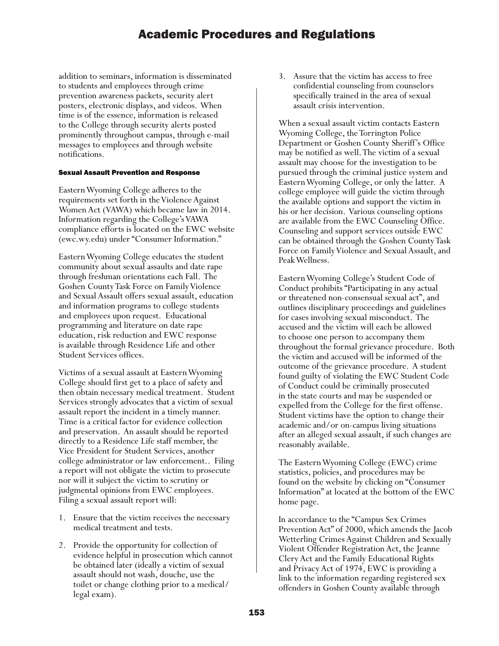addition to seminars, information is disseminated to students and employees through crime prevention awareness packets, security alert posters, electronic displays, and videos. When time is of the essence, information is released to the College through security alerts posted prominently throughout campus, through e-mail messages to employees and through website notifications.

#### Sexual Assault Prevention and Response

Eastern Wyoming College adheres to the requirements set forth in the Violence Against Women Act (VAWA) which became law in 2014. Information regarding the College's VAWA compliance efforts is located on the EWC website (ewc.wy.edu) under "Consumer Information."

Eastern Wyoming College educates the student community about sexual assaults and date rape through freshman orientations each Fall. The Goshen County Task Force on Family Violence and Sexual Assault offers sexual assault, education and information programs to college students and employees upon request. Educational programming and literature on date rape education, risk reduction and EWC response is available through Residence Life and other Student Services offices.

Victims of a sexual assault at Eastern Wyoming College should first get to a place of safety and then obtain necessary medical treatment. Student Services strongly advocates that a victim of sexual assault report the incident in a timely manner. Time is a critical factor for evidence collection and preservation. An assault should be reported directly to a Residence Life staff member, the Vice President for Student Services, another college administrator or law enforcement.. Filing a report will not obligate the victim to prosecute nor will it subject the victim to scrutiny or judgmental opinions from EWC employees. Filing a sexual assault report will:

- 1. Ensure that the victim receives the necessary medical treatment and tests.
- 2. Provide the opportunity for collection of evidence helpful in prosecution which cannot be obtained later (ideally a victim of sexual assault should not wash, douche, use the toilet or change clothing prior to a medical/ legal exam).

3. Assure that the victim has access to free confidential counseling from counselors specifically trained in the area of sexual assault crisis intervention.

When a sexual assault victim contacts Eastern Wyoming College, the Torrington Police Department or Goshen County Sheriff's Office may be notified as well. The victim of a sexual assault may choose for the investigation to be pursued through the criminal justice system and Eastern Wyoming College, or only the latter. A college employee will guide the victim through the available options and support the victim in his or her decision. Various counseling options are available from the EWC Counseling Office. Counseling and support services outside EWC can be obtained through the Goshen County Task Force on Family Violence and Sexual Assault, and Peak Wellness.

Eastern Wyoming College's Student Code of Conduct prohibits "Participating in any actual or threatened non-consensual sexual act", and outlines disciplinary proceedings and guidelines for cases involving sexual misconduct. The accused and the victim will each be allowed to choose one person to accompany them throughout the formal grievance procedure. Both the victim and accused will be informed of the outcome of the grievance procedure. A student found guilty of violating the EWC Student Code of Conduct could be criminally prosecuted in the state courts and may be suspended or expelled from the College for the first offense. Student victims have the option to change their academic and/or on-campus living situations after an alleged sexual assault, if such changes are reasonably available.

The Eastern Wyoming College (EWC) crime statistics, policies, and procedures may be found on the website by clicking on "Consumer Information" at located at the bottom of the EWC home page.

In accordance to the "Campus Sex Crimes Prevention Act" of 2000, which amends the Jacob Wetterling Crimes Against Children and Sexually Violent Offender Registration Act, the Jeanne Clery Act and the Family Educational Rights and Privacy Act of 1974, EWC is providing a link to the information regarding registered sex offenders in Goshen County available through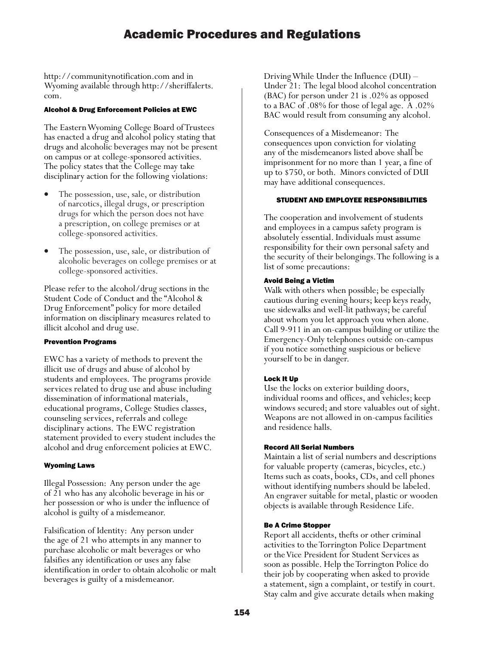http://communitynotification.com and in Wyoming available through http://sheriffalerts. com.

#### Alcohol & Drug Enforcement Policies at EWC

The Eastern Wyoming College Board of Trustees has enacted a drug and alcohol policy stating that drugs and alcoholic beverages may not be present on campus or at college-sponsored activities. The policy states that the College may take disciplinary action for the following violations:

- The possession, use, sale, or distribution of narcotics, illegal drugs, or prescription drugs for which the person does not have a prescription, on college premises or at college-sponsored activities.
- The possession, use, sale, or distribution of alcoholic beverages on college premises or at college-sponsored activities.

Please refer to the alcohol/drug sections in the Student Code of Conduct and the "Alcohol & Drug Enforcement" policy for more detailed information on disciplinary measures related to illicit alcohol and drug use.

### Prevention Programs

EWC has a variety of methods to prevent the illicit use of drugs and abuse of alcohol by students and employees. The programs provide services related to drug use and abuse including dissemination of informational materials, educational programs, College Studies classes, counseling services, referrals and college disciplinary actions. The EWC registration statement provided to every student includes the alcohol and drug enforcement policies at EWC.

### Wyoming Laws

Illegal Possession: Any person under the age of 21 who has any alcoholic beverage in his or her possession or who is under the influence of alcohol is guilty of a misdemeanor.

Falsification of Identity: Any person under the age of 21 who attempts in any manner to purchase alcoholic or malt beverages or who falsifies any identification or uses any false identification in order to obtain alcoholic or malt beverages is guilty of a misdemeanor.

Driving While Under the Influence (DUI) – Under 21: The legal blood alcohol concentration (BAC) for person under 21 is .02% as opposed to a BAC of .08% for those of legal age. A .02% BAC would result from consuming any alcohol.

Consequences of a Misdemeanor: The consequences upon conviction for violating any of the misdemeanors listed above shall be imprisonment for no more than 1 year, a fine of up to \$750, or both. Minors convicted of DUI may have additional consequences.

#### STUDENT AND EMPLOYEE RESPONSIBILITIES

The cooperation and involvement of students and employees in a campus safety program is absolutely essential. Individuals must assume responsibility for their own personal safety and the security of their belongings. The following is a list of some precautions:

#### Avoid Being a Victim

Walk with others when possible; be especially cautious during evening hours; keep keys ready, use sidewalks and well-lit pathways; be careful about whom you let approach you when alone. Call 9-911 in an on-campus building or utilize the Emergency-Only telephones outside on-campus if you notice something suspicious or believe yourself to be in danger.

### Lock It Up

Use the locks on exterior building doors, individual rooms and offices, and vehicles; keep windows secured; and store valuables out of sight. Weapons are not allowed in on-campus facilities and residence halls.

#### Record All Serial Numbers

Maintain a list of serial numbers and descriptions for valuable property (cameras, bicycles, etc.) Items such as coats, books, CDs, and cell phones without identifying numbers should be labeled. An engraver suitable for metal, plastic or wooden objects is available through Residence Life.

### Be A Crime Stopper

Report all accidents, thefts or other criminal activities to the Torrington Police Department or the Vice President for Student Services as soon as possible. Help the Torrington Police do their job by cooperating when asked to provide a statement, sign a complaint, or testify in court. Stay calm and give accurate details when making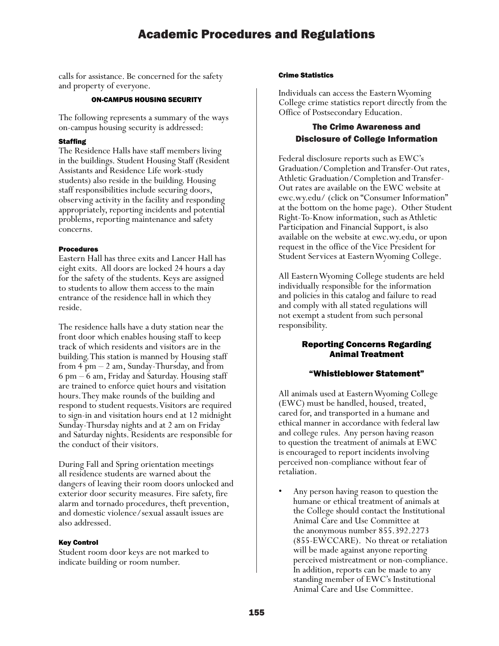calls for assistance. Be concerned for the safety and property of everyone.

#### ON-CAMPUS HOUSING SECURITY

The following represents a summary of the ways on-campus housing security is addressed:

### **Staffing**

The Residence Halls have staff members living in the buildings. Student Housing Staff (Resident Assistants and Residence Life work-study students) also reside in the building. Housing staff responsibilities include securing doors, observing activity in the facility and responding appropriately, reporting incidents and potential problems, reporting maintenance and safety concerns.

### Procedures

Eastern Hall has three exits and Lancer Hall has eight exits. All doors are locked 24 hours a day for the safety of the students. Keys are assigned to students to allow them access to the main entrance of the residence hall in which they reside.

The residence halls have a duty station near the front door which enables housing staff to keep track of which residents and visitors are in the building. This station is manned by Housing staff from 4 pm – 2 am, Sunday-Thursday, and from 6 pm – 6 am, Friday and Saturday. Housing staff are trained to enforce quiet hours and visitation hours. They make rounds of the building and respond to student requests. Visitors are required to sign-in and visitation hours end at 12 midnight Sunday-Thursday nights and at 2 am on Friday and Saturday nights. Residents are responsible for the conduct of their visitors.

During Fall and Spring orientation meetings all residence students are warned about the dangers of leaving their room doors unlocked and exterior door security measures. Fire safety, fire alarm and tornado procedures, theft prevention, and domestic violence/sexual assault issues are also addressed.

## Key Control

Student room door keys are not marked to indicate building or room number.

#### Crime Statistics

Individuals can access the Eastern Wyoming College crime statistics report directly from the Office of Postsecondary Education.

## The Crime Awareness and Disclosure of College Information

Federal disclosure reports such as EWC's Graduation/Completion and Transfer-Out rates, Athletic Graduation/Completion and Transfer-Out rates are available on the EWC website at ewc.wy.edu/ (click on "Consumer Information" at the bottom on the home page). Other Student Right-To-Know information, such as Athletic Participation and Financial Support, is also available on the website at ewc.wy.edu, or upon request in the office of the Vice President for Student Services at Eastern Wyoming College.

All Eastern Wyoming College students are held individually responsible for the information and policies in this catalog and failure to read and comply with all stated regulations will not exempt a student from such personal responsibility.

Student Responsibility

## Reporting Concerns Regarding Animal Treatment

## "Whistleblower Statement"

All animals used at Eastern Wyoming College (EWC) must be handled, housed, treated, cared for, and transported in a humane and ethical manner in accordance with federal law and college rules. Any person having reason to question the treatment of animals at EWC is encouraged to report incidents involving perceived non-compliance without fear of retaliation.

• Any person having reason to question the humane or ethical treatment of animals at the College should contact the Institutional Animal Care and Use Committee at the anonymous number 855.392.2273 (855-EWCCARE). No threat or retaliation will be made against anyone reporting perceived mistreatment or non-compliance. In addition, reports can be made to any standing member of EWC's Institutional Animal Care and Use Committee.